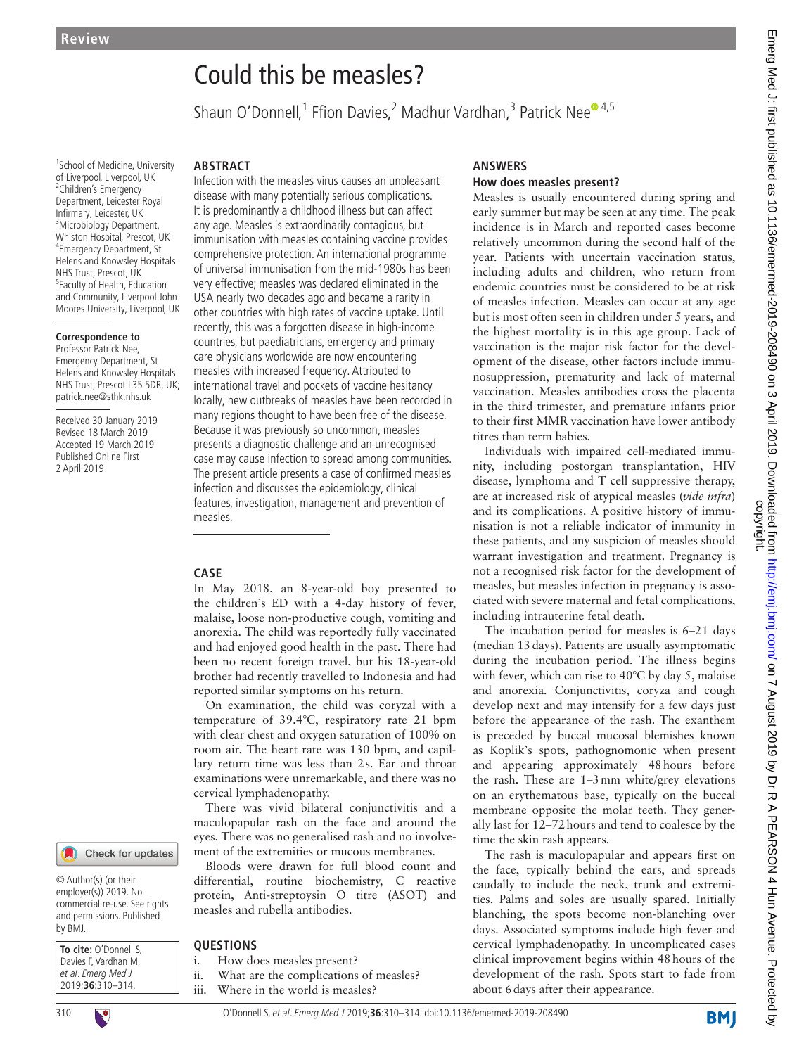# Could this be measles?

Shaun O'Donn[e](http://orcid.org/0000-0002-2419-049X)ll,<sup>1</sup> Ffion Davies,<sup>2</sup> Madhur Vardhan,<sup>3</sup> Patrick Nee<sup>® 4,5</sup>

<sup>1</sup> School of Medicine, University of Liverpool, Liverpool, UK <sup>2</sup>Children's Emergency Department, Leicester Royal Infirmary, Leicester, UK <sup>3</sup>Microbiology Department, Whiston Hospital, Prescot, UK 4 Emergency Department, St Helens and Knowsley Hospitals NHS Trust, Prescot, UK <sup>5</sup> Faculty of Health, Education and Community, Liverpool John Moores University, Liverpool, UK

#### **Correspondence to**

Professor Patrick Nee, Emergency Department, St Helens and Knowsley Hospitals NHS Trust, Prescot L35 5DR, UK; patrick.nee@sthk.nhs.uk

Received 30 January 2019 Revised 18 March 2019 Accepted 19 March 2019 Published Online First 2 April 2019

## **Abstract**

Infection with the measles virus causes an unpleasant disease with many potentially serious complications. It is predominantly a childhood illness but can affect any age. Measles is extraordinarily contagious, but immunisation with measles containing vaccine provides comprehensive protection. An international programme of universal immunisation from the mid-1980s has been very effective; measles was declared eliminated in the USA nearly two decades ago and became a rarity in other countries with high rates of vaccine uptake. Until recently, this was a forgotten disease in high-income countries, but paediatricians, emergency and primary care physicians worldwide are now encountering measles with increased frequency. Attributed to international travel and pockets of vaccine hesitancy locally, new outbreaks of measles have been recorded in many regions thought to have been free of the disease. Because it was previously so uncommon, measles presents a diagnostic challenge and an unrecognised case may cause infection to spread among communities. The present article presents a case of confirmed measles infection and discusses the epidemiology, clinical features, investigation, management and prevention of measles.

## **Case**

In May 2018, an 8-year-old boy presented to the children's ED with a 4-day history of fever, malaise, loose non-productive cough, vomiting and anorexia. The child was reportedly fully vaccinated and had enjoyed good health in the past. There had been no recent foreign travel, but his 18-year-old brother had recently travelled to Indonesia and had reported similar symptoms on his return.

On examination, the child was coryzal with a temperature of 39.4°C, respiratory rate 21 bpm with clear chest and oxygen saturation of 100% on room air. The heart rate was 130 bpm, and capillary return time was less than 2s. Ear and throat examinations were unremarkable, and there was no cervical lymphadenopathy.

There was vivid bilateral conjunctivitis and a maculopapular rash on the face and around the eyes. There was no generalised rash and no involvement of the extremities or mucous membranes.

Bloods were drawn for full blood count and differential, routine biochemistry, C reactive protein, Anti-streptoysin O titre (ASOT) and measles and rubella antibodies.

#### **Questions**

- i. How does measles present?
- ii. What are the complications of measles?
- iii. Where in the world is measles?

## **Answers**

#### **How does measles present?**

Measles is usually encountered during spring and early summer but may be seen at any time. The peak incidence is in March and reported cases become relatively uncommon during the second half of the year. Patients with uncertain vaccination status, including adults and children, who return from endemic countries must be considered to be at risk of measles infection. Measles can occur at any age but is most often seen in children under 5 years, and the highest mortality is in this age group. Lack of vaccination is the major risk factor for the development of the disease, other factors include immunosuppression, prematurity and lack of maternal vaccination. Measles antibodies cross the placenta in the third trimester, and premature infants prior to their first MMR vaccination have lower antibody titres than term babies.

Individuals with impaired cell-mediated immunity, including postorgan transplantation, HIV disease, lymphoma and T cell suppressive therapy, are at increased risk of atypical measles (*vide infra*) and its complications. A positive history of immunisation is not a reliable indicator of immunity in these patients, and any suspicion of measles should warrant investigation and treatment. Pregnancy is not a recognised risk factor for the development of measles, but measles infection in pregnancy is associated with severe maternal and fetal complications, including intrauterine fetal death.

The incubation period for measles is 6–21 days (median 13days). Patients are usually asymptomatic during the incubation period. The illness begins with fever, which can rise to 40°C by day 5, malaise and anorexia. Conjunctivitis, coryza and cough develop next and may intensify for a few days just before the appearance of the rash. The exanthem is preceded by buccal mucosal blemishes known as Koplik's spots, pathognomonic when present and appearing approximately 48hours before the rash. These are 1–3mm white/grey elevations on an erythematous base, typically on the buccal membrane opposite the molar teeth. They generally last for 12–72hours and tend to coalesce by the time the skin rash appears.

The rash is maculopapular and appears first on the face, typically behind the ears, and spreads caudally to include the neck, trunk and extremities. Palms and soles are usually spared. Initially blanching, the spots become non-blanching over days. Associated symptoms include high fever and cervical lymphadenopathy. In uncomplicated cases clinical improvement begins within 48hours of the development of the rash. Spots start to fade from about 6days after their appearance.

**BMJ** 

by BMJ.

**To cite:** O'Donnell S, Davies F, Vardhan M, et al. Emerg Med J 2019;**36**:310–314.

© Author(s) (or their employer(s)) 2019. No commercial re-use. See rights and permissions. Published

Check for updates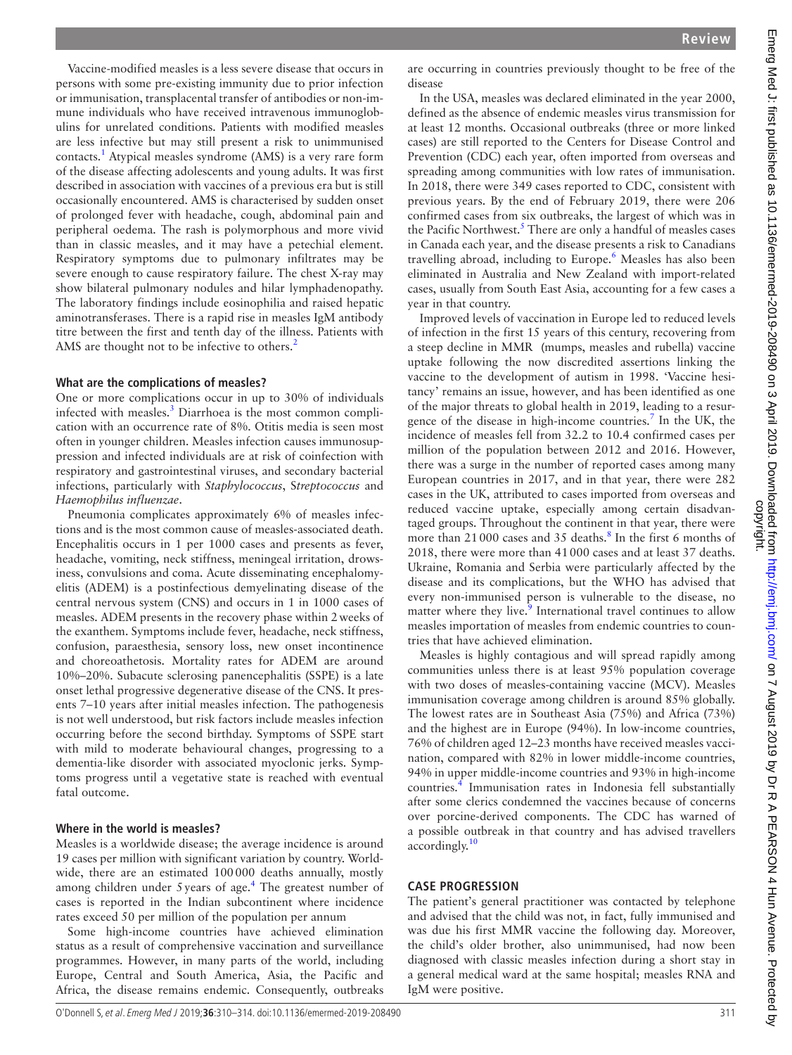Vaccine-modified measles is a less severe disease that occurs in persons with some pre-existing immunity due to prior infection or immunisation, transplacental transfer of antibodies or non-immune individuals who have received intravenous immunoglobulins for unrelated conditions. Patients with modified measles are less infective but may still present a risk to unimmunised contacts.[1](#page-3-0) Atypical measles syndrome (AMS) is a very rare form of the disease affecting adolescents and young adults. It was first described in association with vaccines of a previous era but is still occasionally encountered. AMS is characterised by sudden onset of prolonged fever with headache, cough, abdominal pain and peripheral oedema. The rash is polymorphous and more vivid than in classic measles, and it may have a petechial element. Respiratory symptoms due to pulmonary infiltrates may be severe enough to cause respiratory failure. The chest X-ray may show bilateral pulmonary nodules and hilar lymphadenopathy. The laboratory findings include eosinophilia and raised hepatic aminotransferases. There is a rapid rise in measles IgM antibody titre between the first and tenth day of the illness. Patients with AMS are thought not to be infective to others.<sup>[2](#page-3-1)</sup>

#### **What are the complications of measles?**

One or more complications occur in up to 30% of individuals infected with measles.<sup>[3](#page-3-2)</sup> Diarrhoea is the most common complication with an occurrence rate of 8%. Otitis media is seen most often in younger children. Measles infection causes immunosuppression and infected individuals are at risk of coinfection with respiratory and gastrointestinal viruses, and secondary bacterial infections, particularly with *Staphylococcus*, S*treptococcus* and *Haemophilus influenzae*.

Pneumonia complicates approximately 6% of measles infections and is the most common cause of measles-associated death. Encephalitis occurs in 1 per 1000 cases and presents as fever, headache, vomiting, neck stiffness, meningeal irritation, drowsiness, convulsions and coma. Acute disseminating encephalomyelitis (ADEM) is a postinfectious demyelinating disease of the central nervous system (CNS) and occurs in 1 in 1000 cases of measles. ADEM presents in the recovery phase within 2weeks of the exanthem. Symptoms include fever, headache, neck stiffness, confusion, paraesthesia, sensory loss, new onset incontinence and choreoathetosis. Mortality rates for ADEM are around 10%–20%. Subacute sclerosing panencephalitis (SSPE) is a late onset lethal progressive degenerative disease of the CNS. It presents 7–10 years after initial measles infection. The pathogenesis is not well understood, but risk factors include measles infection occurring before the second birthday. Symptoms of SSPE start with mild to moderate behavioural changes, progressing to a dementia-like disorder with associated myoclonic jerks. Symptoms progress until a vegetative state is reached with eventual fatal outcome.

#### **Where in the world is measles?**

Measles is a worldwide disease; the average incidence is around 19 cases per million with significant variation by country. Worldwide, there are an estimated 100000 deaths annually, mostly among children under  $5$  years of age.<sup>[4](#page-3-3)</sup> The greatest number of cases is reported in the Indian subcontinent where incidence rates exceed 50 per million of the population per annum

Some high-income countries have achieved elimination status as a result of comprehensive vaccination and surveillance programmes. However, in many parts of the world, including Europe, Central and South America, Asia, the Pacific and Africa, the disease remains endemic. Consequently, outbreaks

are occurring in countries previously thought to be free of the disease

In the USA, measles was declared eliminated in the year 2000, defined as the absence of endemic measles virus transmission for at least 12 months. Occasional outbreaks (three or more linked cases) are still reported to the Centers for Disease Control and Prevention (CDC) each year, often imported from overseas and spreading among communities with low rates of immunisation. In 2018, there were 349 cases reported to CDC, consistent with previous years. By the end of February 2019, there were 206 confirmed cases from six outbreaks, the largest of which was in the Pacific Northwest.<sup>[5](#page-3-4)</sup> There are only a handful of measles cases in Canada each year, and the disease presents a risk to Canadians travelling abroad, including to Europe.<sup>6</sup> Measles has also been eliminated in Australia and New Zealand with import-related cases, usually from South East Asia, accounting for a few cases a year in that country.

Improved levels of vaccination in Europe led to reduced levels of infection in the first 15 years of this century, recovering from a steep decline in MMR (mumps, measles and rubella) vaccine uptake following the now discredited assertions linking the vaccine to the development of autism in 1998. 'Vaccine hesitancy' remains an issue, however, and has been identified as one of the major threats to global health in 2019, leading to a resur-gence of the disease in high-income countries.<sup>[7](#page-3-6)</sup> In the UK, the incidence of measles fell from 32.2 to 10.4 confirmed cases per million of the population between 2012 and 2016. However, there was a surge in the number of reported cases among many European countries in 2017, and in that year, there were 282 cases in the UK, attributed to cases imported from overseas and reduced vaccine uptake, especially among certain disadvantaged groups. Throughout the continent in that year, there were more than  $21000$  cases and 35 deaths.<sup>[8](#page-3-7)</sup> In the first 6 months of 2018, there were more than 41000 cases and at least 37 deaths. Ukraine, Romania and Serbia were particularly affected by the disease and its complications, but the WHO has advised that every non-immunised person is vulnerable to the disease, no matter where they live.<sup>[9](#page-3-8)</sup> International travel continues to allow measles importation of measles from endemic countries to countries that have achieved elimination.

Measles is highly contagious and will spread rapidly among communities unless there is at least 95% population coverage with two doses of measles-containing vaccine (MCV). Measles immunisation coverage among children is around 85% globally. The lowest rates are in Southeast Asia (75%) and Africa (73%) and the highest are in Europe (94%). In low-income countries, 76% of children aged 12–23 months have received measles vaccination, compared with 82% in lower middle-income countries, 94% in upper middle-income countries and 93% in high-income countries.<sup>[4](#page-3-3)</sup> Immunisation rates in Indonesia fell substantially after some clerics condemned the vaccines because of concerns over porcine-derived components. The CDC has warned of a possible outbreak in that country and has advised travellers accordingly.<sup>[10](#page-3-9)</sup>

## **Case progression**

The patient's general practitioner was contacted by telephone and advised that the child was not, in fact, fully immunised and was due his first MMR vaccine the following day. Moreover, the child's older brother, also unimmunised, had now been diagnosed with classic measles infection during a short stay in a general medical ward at the same hospital; measles RNA and IgM were positive.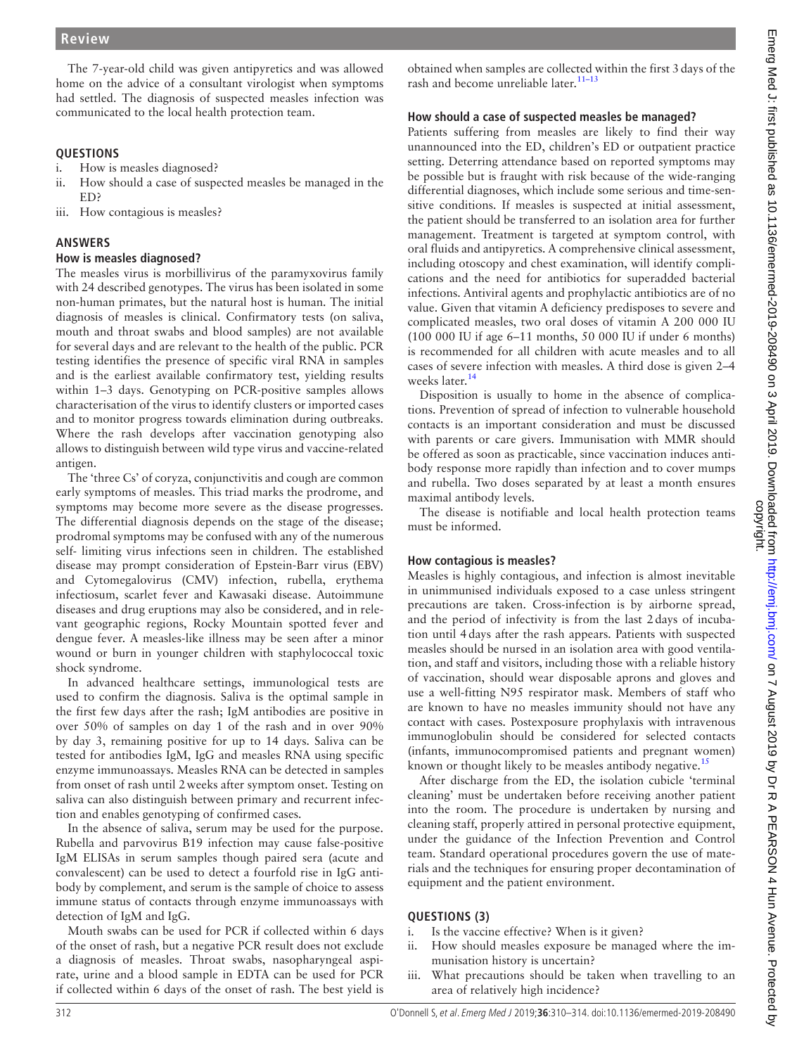The 7-year-old child was given antipyretics and was allowed home on the advice of a consultant virologist when symptoms had settled. The diagnosis of suspected measles infection was communicated to the local health protection team.

## **Questions**

- i. How is measles diagnosed?
- ii. How should a case of suspected measles be managed in the ED?
- iii. How contagious is measles?

## **Answers**

## **How is measles diagnosed?**

The measles virus is morbillivirus of the paramyxovirus family with 24 described genotypes. The virus has been isolated in some non-human primates, but the natural host is human. The initial diagnosis of measles is clinical. Confirmatory tests (on saliva, mouth and throat swabs and blood samples) are not available for several days and are relevant to the health of the public. PCR testing identifies the presence of specific viral RNA in samples and is the earliest available confirmatory test, yielding results within 1–3 days. Genotyping on PCR-positive samples allows characterisation of the virus to identify clusters or imported cases and to monitor progress towards elimination during outbreaks. Where the rash develops after vaccination genotyping also allows to distinguish between wild type virus and vaccine-related antigen.

The 'three Cs' of coryza, conjunctivitis and cough are common early symptoms of measles. This triad marks the prodrome, and symptoms may become more severe as the disease progresses. The differential diagnosis depends on the stage of the disease; prodromal symptoms may be confused with any of the numerous self- limiting virus infections seen in children. The established disease may prompt consideration of Epstein-Barr virus (EBV) and Cytomegalovirus (CMV) infection, rubella, erythema infectiosum, scarlet fever and Kawasaki disease. Autoimmune diseases and drug eruptions may also be considered, and in relevant geographic regions, Rocky Mountain spotted fever and dengue fever. A measles-like illness may be seen after a minor wound or burn in younger children with staphylococcal toxic shock syndrome.

In advanced healthcare settings, immunological tests are used to confirm the diagnosis. Saliva is the optimal sample in the first few days after the rash; IgM antibodies are positive in over 50% of samples on day 1 of the rash and in over 90% by day 3, remaining positive for up to 14 days. Saliva can be tested for antibodies IgM, IgG and measles RNA using specific enzyme immunoassays. Measles RNA can be detected in samples from onset of rash until 2weeks after symptom onset. Testing on saliva can also distinguish between primary and recurrent infection and enables genotyping of confirmed cases.

In the absence of saliva, serum may be used for the purpose. Rubella and parvovirus B19 infection may cause false-positive IgM ELISAs in serum samples though paired sera (acute and convalescent) can be used to detect a fourfold rise in IgG antibody by complement, and serum is the sample of choice to assess immune status of contacts through enzyme immunoassays with detection of IgM and IgG.

Mouth swabs can be used for PCR if collected within 6 days of the onset of rash, but a negative PCR result does not exclude a diagnosis of measles. Throat swabs, nasopharyngeal aspirate, urine and a blood sample in EDTA can be used for PCR if collected within 6 days of the onset of rash. The best yield is

obtained when samples are collected within the first 3days of the rash and become unreliable later. [11–13](#page-3-10)

## **How should a case of suspected measles be managed?**

Patients suffering from measles are likely to find their way unannounced into the ED, children's ED or outpatient practice setting. Deterring attendance based on reported symptoms may be possible but is fraught with risk because of the wide-ranging differential diagnoses, which include some serious and time-sensitive conditions. If measles is suspected at initial assessment, the patient should be transferred to an isolation area for further management. Treatment is targeted at symptom control, with oral fluids and antipyretics. A comprehensive clinical assessment, including otoscopy and chest examination, will identify complications and the need for antibiotics for superadded bacterial infections. Antiviral agents and prophylactic antibiotics are of no value. Given that vitamin A deficiency predisposes to severe and complicated measles, two oral doses of vitamin A 200 000 IU (100 000 IU if age 6–11 months, 50 000 IU if under 6 months) is recommended for all children with acute measles and to all cases of severe infection with measles. A third dose is given 2–4 weeks later.<sup>[14](#page-4-0)</sup>

Disposition is usually to home in the absence of complications. Prevention of spread of infection to vulnerable household contacts is an important consideration and must be discussed with parents or care givers. Immunisation with MMR should be offered as soon as practicable, since vaccination induces antibody response more rapidly than infection and to cover mumps and rubella. Two doses separated by at least a month ensures maximal antibody levels.

The disease is notifiable and local health protection teams must be informed.

## **How contagious is measles?**

Measles is highly contagious, and infection is almost inevitable in unimmunised individuals exposed to a case unless stringent precautions are taken. Cross-infection is by airborne spread, and the period of infectivity is from the last 2days of incubation until 4days after the rash appears. Patients with suspected measles should be nursed in an isolation area with good ventilation, and staff and visitors, including those with a reliable history of vaccination, should wear disposable aprons and gloves and use a well-fitting N95 respirator mask. Members of staff who are known to have no measles immunity should not have any contact with cases. Postexposure prophylaxis with intravenous immunoglobulin should be considered for selected contacts (infants, immunocompromised patients and pregnant women) known or thought likely to be measles antibody negative.<sup>15</sup>

After discharge from the ED, the isolation cubicle 'terminal cleaning' must be undertaken before receiving another patient into the room. The procedure is undertaken by nursing and cleaning staff, properly attired in personal protective equipment, under the guidance of the Infection Prevention and Control team. Standard operational procedures govern the use of materials and the techniques for ensuring proper decontamination of equipment and the patient environment.

## **Questions (3)**

- i. Is the vaccine effective? When is it given?
- ii. How should measles exposure be managed where the immunisation history is uncertain?
- iii. What precautions should be taken when travelling to an area of relatively high incidence?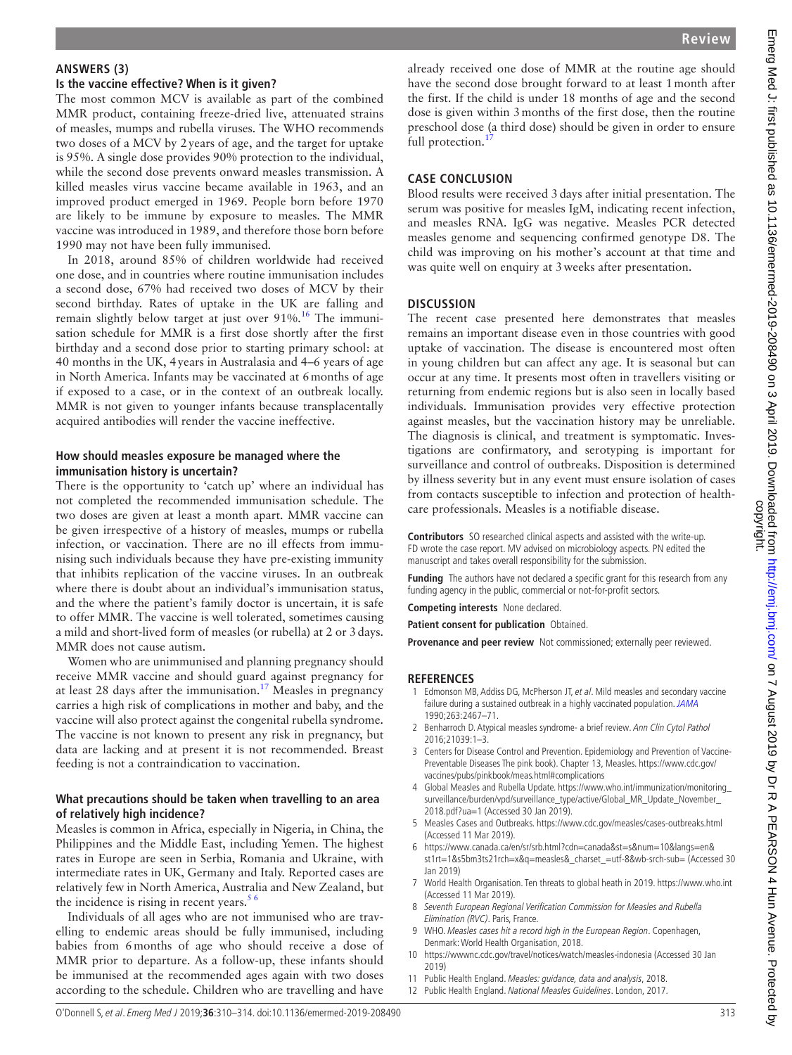## **Answers (3)**

#### **Is the vaccine effective? When is it given?**

The most common MCV is available as part of the combined MMR product, containing freeze-dried live, attenuated strains of measles, mumps and rubella viruses. The WHO recommends two doses of a MCV by 2years of age, and the target for uptake is 95%. A single dose provides 90% protection to the individual, while the second dose prevents onward measles transmission. A killed measles virus vaccine became available in 1963, and an improved product emerged in 1969. People born before 1970 are likely to be immune by exposure to measles. The MMR vaccine was introduced in 1989, and therefore those born before 1990 may not have been fully immunised.

In 2018, around 85% of children worldwide had received one dose, and in countries where routine immunisation includes a second dose, 67% had received two doses of MCV by their second birthday. Rates of uptake in the UK are falling and remain slightly below target at just over 91%[.16](#page-4-2) The immunisation schedule for MMR is a first dose shortly after the first birthday and a second dose prior to starting primary school: at 40 months in the UK, 4years in Australasia and 4–6 years of age in North America. Infants may be vaccinated at 6months of age if exposed to a case, or in the context of an outbreak locally. MMR is not given to younger infants because transplacentally acquired antibodies will render the vaccine ineffective.

## **How should measles exposure be managed where the immunisation history is uncertain?**

There is the opportunity to 'catch up' where an individual has not completed the recommended immunisation schedule. The two doses are given at least a month apart. MMR vaccine can be given irrespective of a history of measles, mumps or rubella infection, or vaccination. There are no ill effects from immunising such individuals because they have pre-existing immunity that inhibits replication of the vaccine viruses. In an outbreak where there is doubt about an individual's immunisation status, and the where the patient's family doctor is uncertain, it is safe to offer MMR. The vaccine is well tolerated, sometimes causing a mild and short-lived form of measles (or rubella) at 2 or 3days. MMR does not cause autism.

Women who are unimmunised and planning pregnancy should receive MMR vaccine and should guard against pregnancy for at least 28 days after the immunisation.<sup>[17](#page-4-3)</sup> Measles in pregnancy carries a high risk of complications in mother and baby, and the vaccine will also protect against the congenital rubella syndrome. The vaccine is not known to present any risk in pregnancy, but data are lacking and at present it is not recommended. Breast feeding is not a contraindication to vaccination.

## **What precautions should be taken when travelling to an area of relatively high incidence?**

Measles is common in Africa, especially in Nigeria, in China, the Philippines and the Middle East, including Yemen. The highest rates in Europe are seen in Serbia, Romania and Ukraine, with intermediate rates in UK, Germany and Italy. Reported cases are relatively few in North America, Australia and New Zealand, but the incidence is rising in recent years.<sup>5 6</sup>

Individuals of all ages who are not immunised who are travelling to endemic areas should be fully immunised, including babies from 6months of age who should receive a dose of MMR prior to departure. As a follow-up, these infants should be immunised at the recommended ages again with two doses according to the schedule. Children who are travelling and have

already received one dose of MMR at the routine age should have the second dose brought forward to at least 1month after the first. If the child is under 18 months of age and the second dose is given within 3months of the first dose, then the routine preschool dose (a third dose) should be given in order to ensure full protection.

## **Case conclusion**

Blood results were received 3days after initial presentation. The serum was positive for measles IgM, indicating recent infection, and measles RNA. IgG was negative. Measles PCR detected measles genome and sequencing confirmed genotype D8. The child was improving on his mother's account at that time and was quite well on enquiry at 3weeks after presentation.

## **Discussion**

The recent case presented here demonstrates that measles remains an important disease even in those countries with good uptake of vaccination. The disease is encountered most often in young children but can affect any age. It is seasonal but can occur at any time. It presents most often in travellers visiting or returning from endemic regions but is also seen in locally based individuals. Immunisation provides very effective protection against measles, but the vaccination history may be unreliable. The diagnosis is clinical, and treatment is symptomatic. Investigations are confirmatory, and serotyping is important for surveillance and control of outbreaks. Disposition is determined by illness severity but in any event must ensure isolation of cases from contacts susceptible to infection and protection of healthcare professionals. Measles is a notifiable disease.

**Contributors** SO researched clinical aspects and assisted with the write-up. FD wrote the case report. MV advised on microbiology aspects. PN edited the manuscript and takes overall responsibility for the submission.

**Funding** The authors have not declared a specific grant for this research from any funding agency in the public, commercial or not-for-profit sectors.

**Competing interests** None declared.

**Patient consent for publication** Obtained.

**Provenance and peer review** Not commissioned; externally peer reviewed.

#### **References**

- <span id="page-3-0"></span>1 Edmonson MB, Addiss DG, McPherson JT, et al. Mild measles and secondary vaccine failure during a sustained outbreak in a highly vaccinated population. [JAMA](http://dx.doi.org/10.1001/jama.1990.03440180073035) 1990;263:2467–71.
- <span id="page-3-1"></span>2 Benharroch D. Atypical measles syndrome- a brief review. Ann Clin Cytol Pathol 2016;21039:1–3.
- <span id="page-3-2"></span>3 Centers for Disease Control and Prevention. Epidemiology and Prevention of Vaccine-Preventable Diseases The pink book). Chapter 13, Measles. [https://www.cdc.gov/](https://www.cdc.gov/vaccines/pubs/pinkbook/meas.html#complications) [vaccines/pubs/pinkbook/meas.html#complications](https://www.cdc.gov/vaccines/pubs/pinkbook/meas.html#complications)
- <span id="page-3-3"></span>4 Global Measles and Rubella Update. [https://www.who.int/immunization/monitoring\\_](https://www.who.int/immunization/monitoring_surveillance/burden/vpd/surveillance_type/active/Global_MR_Update_November_2018.pdf?ua=1) [surveillance/burden/vpd/surveillance\\_type/active/Global\\_MR\\_Update\\_November\\_](https://www.who.int/immunization/monitoring_surveillance/burden/vpd/surveillance_type/active/Global_MR_Update_November_2018.pdf?ua=1) [2018.pdf?ua=1](https://www.who.int/immunization/monitoring_surveillance/burden/vpd/surveillance_type/active/Global_MR_Update_November_2018.pdf?ua=1) (Accessed 30 Jan 2019).
- <span id="page-3-4"></span>5 Measles Cases and Outbreaks. <https://www.cdc.gov/measles/cases-outbreaks.html> (Accessed 11 Mar 2019).
- <span id="page-3-5"></span>6 [https://www.canada.ca/en/sr/srb.html?cdn=canada&st=s&num=10&langs=en&](https://www.canada.ca/en/sr/srb.html?cdn=canada&st=s&num=10&langs=en&st1rt=1&s5bm3ts21rch=x&q=measles&_charset_=utf-8&wb-srch-sub=) [st1rt=1&s5bm3ts21rch=x&q=measles&\\_charset\\_=utf-8&wb-srch-sub=](https://www.canada.ca/en/sr/srb.html?cdn=canada&st=s&num=10&langs=en&st1rt=1&s5bm3ts21rch=x&q=measles&_charset_=utf-8&wb-srch-sub=) (Accessed 30 Jan 2019)
- <span id="page-3-6"></span>7 World Health Organisation. Ten threats to global heath in 2019. <https://www.who.int> (Accessed 11 Mar 2019).
- <span id="page-3-7"></span>Seventh European Regional Verification Commission for Measles and Rubella Elimination (RVC). Paris, France.
- <span id="page-3-8"></span>9 WHO. Measles cases hit a record high in the European Region. Copenhagen, Denmark: World Health Organisation, 2018.
- <span id="page-3-9"></span>10 <https://wwwnc.cdc.gov/travel/notices/watch/measles-indonesia> (Accessed 30 Jan 2019)
- <span id="page-3-10"></span>11 Public Health England. Measles: guidance, data and analysis, 2018.
- 12 Public Health England. National Measles Guidelines. London, 2017.